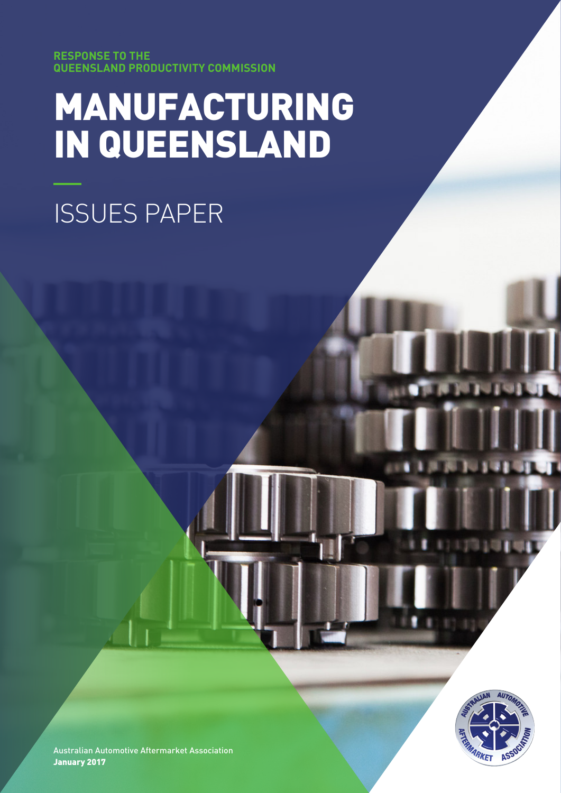**RESPONSE TO THE QUEENSLAND PRODUCTIVITY COMMISSION**

# MANUFACTURING IN QUEENSLAND

## ISSUES PAPER



1

Australian Automotive Aftermarket Association January 2017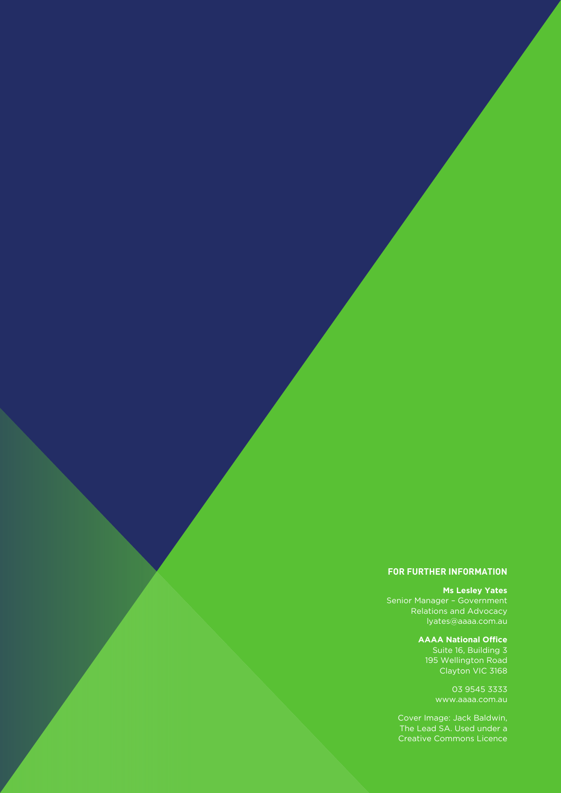#### **FOR FURTHER INFORMATION**

**Ms Lesley Yates** Senior Manager – Government Relations and Advocacy lyates@aaaa.com.au

> **AAAA National Office** Suite 16, Building 3 195 Wellington Road Clayton VIC 3168

> > 03 9545 3333 www.aaaa.com.au

Cover Image: Jack Baldwin, The Lead SA. Used under a Creative Commons Licence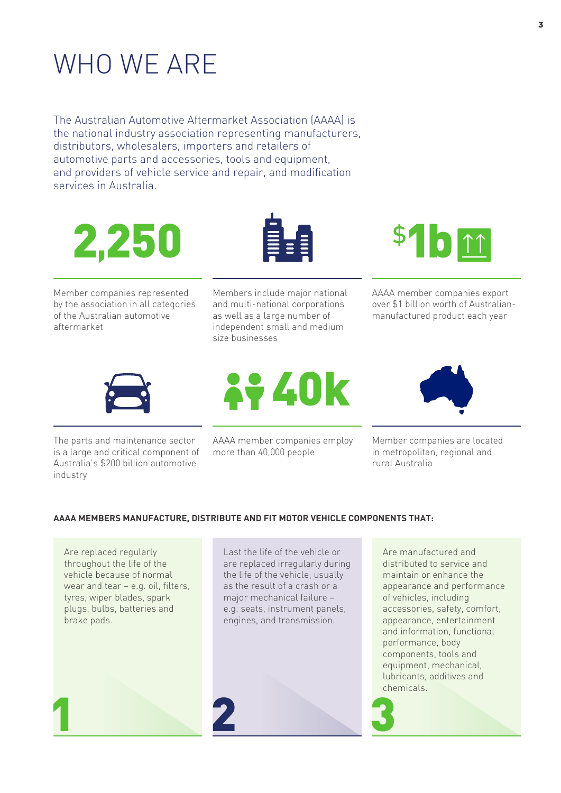### WHO WE ARE

The Australian Automotive Aftermarket Association (AAAA) is the national industry association representing manufacturers, distributors, wholesalers, importers and retailers of automotive parts and accessories, tools and equipment, and providers of vehicle service and repair, and modification services in Australia.





Member companies represented by the association in all categories of the Australian automotive aftermarket

Members include major national and multi-national corporations as well as a large number of independent small and medium size businesses



AAAA member companies export over \$1 billion worth of Australianmanufactured product each year



The parts and maintenance sector is a large and critical component of Australia's \$200 billion automotive industry

**2740k** 

AAAA member companies employ more than 40,000 people



Member companies are located in metropolitan, regional and rural Australia

### **AAAA MEMBERS MANUFACTURE, DISTRIBUTE AND FIT MOTOR VEHICLE COMPONENTS THAT:**

Are replaced regularly throughout the life of the vehicle because of normal wear and tear – e.g. oil, filters, tyres, wiper blades, spark plugs, bulbs, batteries and brake pads.

Last the life of the vehicle or are replaced irregularly during the life of the vehicle, usually as the result of a crash or a major mechanical failure – e.g. seats, instrument panels, engines, and transmission.

1 2 3 Are manufactured and distributed to service and maintain or enhance the appearance and performance of vehicles, including accessories, safety, comfort, appearance, entertainment and information, functional performance, body components, tools and equipment, mechanical, lubricants, additives and chemicals.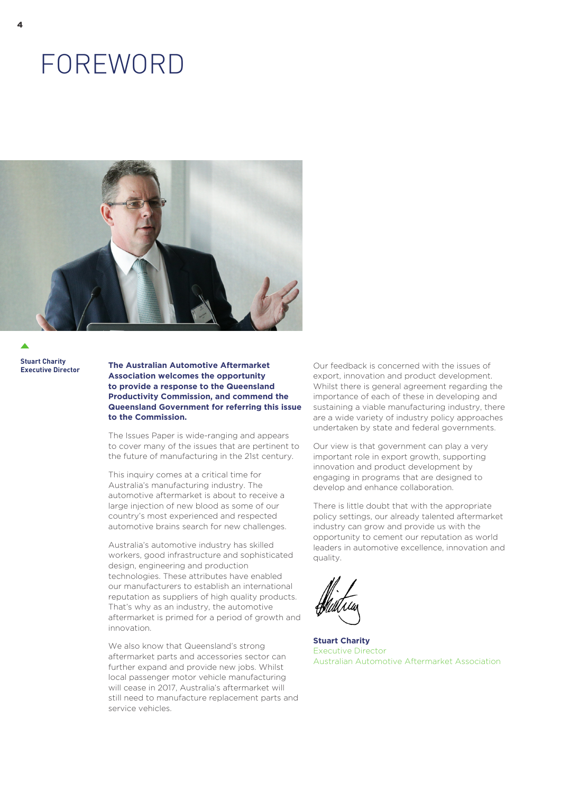### FOREWORD



**Stuart Charity Executive Director**

**The Australian Automotive Aftermarket Association welcomes the opportunity to provide a response to the Queensland Productivity Commission, and commend the Queensland Government for referring this issue to the Commission.** 

The Issues Paper is wide-ranging and appears to cover many of the issues that are pertinent to the future of manufacturing in the 21st century.

This inquiry comes at a critical time for Australia's manufacturing industry. The automotive aftermarket is about to receive a large injection of new blood as some of our country's most experienced and respected automotive brains search for new challenges.

Australia's automotive industry has skilled workers, good infrastructure and sophisticated design, engineering and production technologies. These attributes have enabled our manufacturers to establish an international reputation as suppliers of high quality products. That's why as an industry, the automotive aftermarket is primed for a period of growth and innovation.

We also know that Queensland's strong aftermarket parts and accessories sector can further expand and provide new jobs. Whilst local passenger motor vehicle manufacturing will cease in 2017, Australia's aftermarket will still need to manufacture replacement parts and service vehicles.

Our feedback is concerned with the issues of export, innovation and product development. Whilst there is general agreement regarding the importance of each of these in developing and sustaining a viable manufacturing industry, there are a wide variety of industry policy approaches undertaken by state and federal governments.

Our view is that government can play a very important role in export growth, supporting innovation and product development by engaging in programs that are designed to develop and enhance collaboration.

There is little doubt that with the appropriate policy settings, our already talented aftermarket industry can grow and provide us with the opportunity to cement our reputation as world leaders in automotive excellence, innovation and quality.



**Stuart Charity**  Executive Director Australian Automotive Aftermarket Association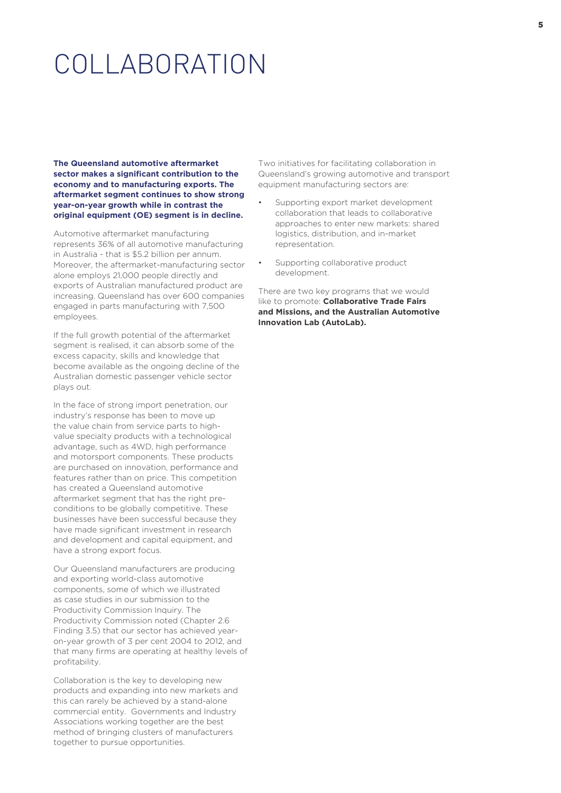### COLLABORATION

**The Queensland automotive aftermarket sector makes a significant contribution to the economy and to manufacturing exports. The aftermarket segment continues to show strong year-on-year growth while in contrast the original equipment (OE) segment is in decline.**

Automotive aftermarket manufacturing represents 36% of all automotive manufacturing in Australia - that is \$5.2 billion per annum. Moreover, the aftermarket-manufacturing sector alone employs 21,000 people directly and exports of Australian manufactured product are increasing. Queensland has over 600 companies engaged in parts manufacturing with 7,500 employees.

If the full growth potential of the aftermarket segment is realised, it can absorb some of the excess capacity, skills and knowledge that become available as the ongoing decline of the Australian domestic passenger vehicle sector plays out.

In the face of strong import penetration, our industry's response has been to move up the value chain from service parts to highvalue specialty products with a technological advantage, such as 4WD, high performance and motorsport components. These products are purchased on innovation, performance and features rather than on price. This competition has created a Queensland automotive aftermarket segment that has the right preconditions to be globally competitive. These businesses have been successful because they have made significant investment in research and development and capital equipment, and have a strong export focus.

Our Queensland manufacturers are producing and exporting world-class automotive components, some of which we illustrated as case studies in our submission to the Productivity Commission Inquiry. The Productivity Commission noted (Chapter 2.6 Finding 3.5) that our sector has achieved yearon-year growth of 3 per cent 2004 to 2012, and that many firms are operating at healthy levels of profitability.

Collaboration is the key to developing new products and expanding into new markets and this can rarely be achieved by a stand-alone commercial entity. Governments and Industry Associations working together are the best method of bringing clusters of manufacturers together to pursue opportunities.

Two initiatives for facilitating collaboration in Queensland's growing automotive and transport equipment manufacturing sectors are:

- Supporting export market development collaboration that leads to collaborative approaches to enter new markets: shared logistics, distribution, and in-market representation.
- Supporting collaborative product development.

There are two key programs that we would like to promote: **Collaborative Trade Fairs and Missions, and the Australian Automotive Innovation Lab (AutoLab).**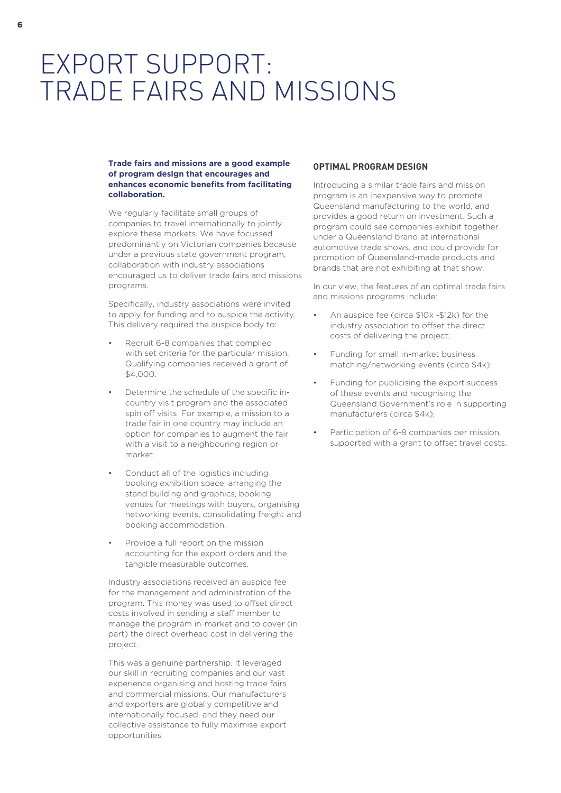### EXPORT SUPPORT: TRADE FAIRS AND MISSIONS

#### **Trade fairs and missions are a good example of program design that encourages and enhances economic benefits from facilitating collaboration.**

We regularly facilitate small groups of companies to travel internationally to jointly explore these markets. We have focussed predominantly on Victorian companies because under a previous state government program, collaboration with industry associations encouraged us to deliver trade fairs and missions programs.

Specifically, industry associations were invited to apply for funding and to auspice the activity. This delivery required the auspice body to:

- Recruit 6-8 companies that complied with set criteria for the particular mission. Qualifying companies received a grant of  $$4,000$
- Determine the schedule of the specific incountry visit program and the associated spin off visits. For example, a mission to a trade fair in one country may include an option for companies to augment the fair with a visit to a neighbouring region or market.
- Conduct all of the logistics including booking exhibition space, arranging the stand building and graphics, booking venues for meetings with buyers, organising networking events, consolidating freight and booking accommodation.
- Provide a full report on the mission accounting for the export orders and the tangible measurable outcomes.

Industry associations received an auspice fee for the management and administration of the program. This money was used to offset direct costs involved in sending a staff member to manage the program in-market and to cover (in part) the direct overhead cost in delivering the project.

This was a genuine partnership. It leveraged our skill in recruiting companies and our vast experience organising and hosting trade fairs and commercial missions. Our manufacturers and exporters are globally competitive and internationally focused, and they need our collective assistance to fully maximise export opportunities.

#### **OPTIMAL PROGRAM DESIGN**

Introducing a similar trade fairs and mission program is an inexpensive way to promote Queensland manufacturing to the world, and provides a good return on investment. Such a program could see companies exhibit together under a Queensland brand at international automotive trade shows, and could provide for promotion of Queensland-made products and brands that are not exhibiting at that show.

In our view, the features of an optimal trade fairs and missions programs include:

- An auspice fee (circa \$10k -\$12k) for the industry association to offset the direct costs of delivering the project;
- Funding for small in-market business matching/networking events (circa \$4k);
- Funding for publicising the export success of these events and recognising the Queensland Government's role in supporting manufacturers (circa \$4k);
- Participation of 6-8 companies per mission, supported with a grant to offset travel costs.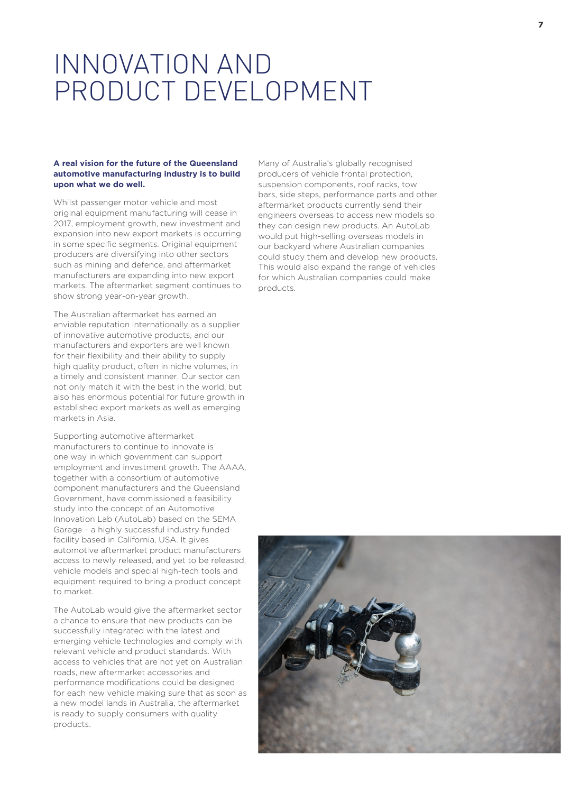### INNOVATION AND PRODUCT DEVELOPMENT

#### **A real vision for the future of the Queensland automotive manufacturing industry is to build upon what we do well.**

Whilst passenger motor vehicle and most original equipment manufacturing will cease in 2017, employment growth, new investment and expansion into new export markets is occurring in some specific segments. Original equipment producers are diversifying into other sectors such as mining and defence, and aftermarket manufacturers are expanding into new export markets. The aftermarket segment continues to show strong year-on-year growth.

The Australian aftermarket has earned an enviable reputation internationally as a supplier of innovative automotive products, and our manufacturers and exporters are well known for their flexibility and their ability to supply high quality product, often in niche volumes, in a timely and consistent manner. Our sector can not only match it with the best in the world, but also has enormous potential for future growth in established export markets as well as emerging markets in Asia.

Supporting automotive aftermarket manufacturers to continue to innovate is one way in which government can support employment and investment growth. The AAAA, together with a consortium of automotive component manufacturers and the Queensland Government, have commissioned a feasibility study into the concept of an Automotive Innovation Lab (AutoLab) based on the SEMA Garage – a highly successful industry fundedfacility based in California, USA. It gives automotive aftermarket product manufacturers access to newly released, and yet to be released, vehicle models and special high-tech tools and equipment required to bring a product concept to market.

The AutoLab would give the aftermarket sector a chance to ensure that new products can be successfully integrated with the latest and emerging vehicle technologies and comply with relevant vehicle and product standards. With access to vehicles that are not yet on Australian roads, new aftermarket accessories and performance modifications could be designed for each new vehicle making sure that as soon as a new model lands in Australia, the aftermarket is ready to supply consumers with quality products.

Many of Australia's globally recognised producers of vehicle frontal protection, suspension components, roof racks, tow bars, side steps, performance parts and other aftermarket products currently send their engineers overseas to access new models so they can design new products. An AutoLab would put high-selling overseas models in our backyard where Australian companies could study them and develop new products. This would also expand the range of vehicles for which Australian companies could make products.

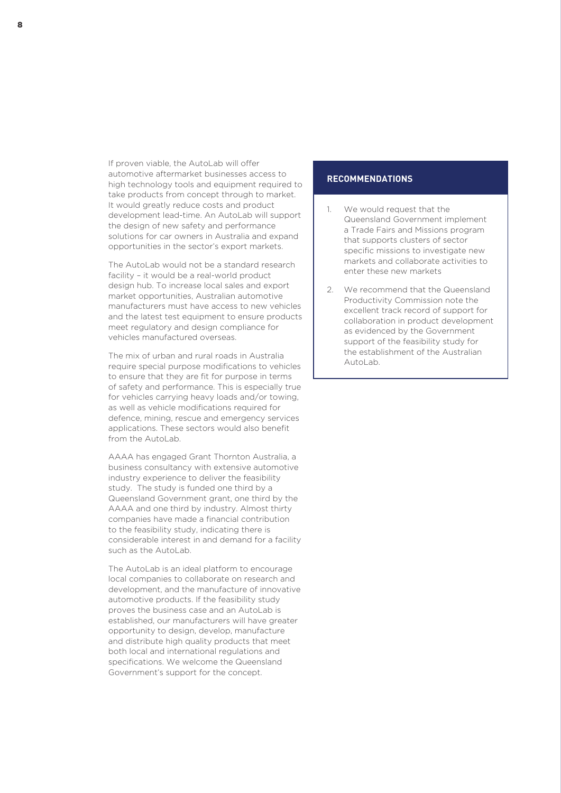If proven viable, the AutoLab will offer automotive aftermarket businesses access to high technology tools and equipment required to take products from concept through to market. It would greatly reduce costs and product development lead-time. An AutoLab will support the design of new safety and performance solutions for car owners in Australia and expand opportunities in the sector's export markets.

The AutoLab would not be a standard research facility – it would be a real-world product design hub. To increase local sales and export market opportunities, Australian automotive manufacturers must have access to new vehicles and the latest test equipment to ensure products meet regulatory and design compliance for vehicles manufactured overseas.

The mix of urban and rural roads in Australia require special purpose modifications to vehicles to ensure that they are fit for purpose in terms of safety and performance. This is especially true for vehicles carrying heavy loads and/or towing, as well as vehicle modifications required for defence, mining, rescue and emergency services applications. These sectors would also benefit from the AutoLab.

AAAA has engaged Grant Thornton Australia, a business consultancy with extensive automotive industry experience to deliver the feasibility study. The study is funded one third by a Queensland Government grant, one third by the AAAA and one third by industry. Almost thirty companies have made a financial contribution to the feasibility study, indicating there is considerable interest in and demand for a facility such as the AutoLab.

The AutoLab is an ideal platform to encourage local companies to collaborate on research and development, and the manufacture of innovative automotive products. If the feasibility study proves the business case and an AutoLab is established, our manufacturers will have greater opportunity to design, develop, manufacture and distribute high quality products that meet both local and international regulations and specifications. We welcome the Queensland Government's support for the concept.

#### **RECOMMENDATIONS**

- 1. We would request that the Queensland Government implement a Trade Fairs and Missions program that supports clusters of sector specific missions to investigate new markets and collaborate activities to enter these new markets
- 2. We recommend that the Queensland Productivity Commission note the excellent track record of support for collaboration in product development as evidenced by the Government support of the feasibility study for the establishment of the Australian AutoLab.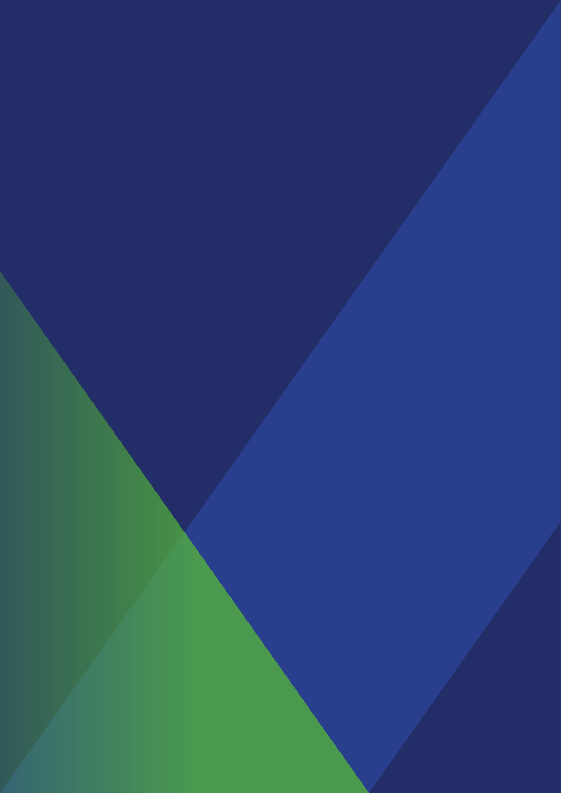